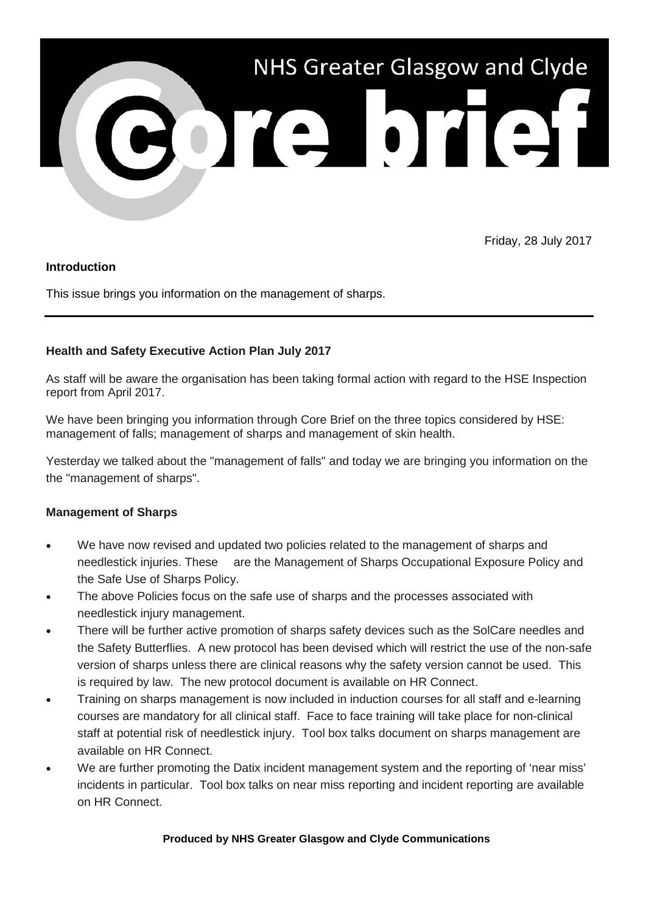

Friday, 28 July 2017

### **Introduction**

This issue brings you information on the management of sharps.

# **Health and Safety Executive Action Plan July 2017**

As staff will be aware the organisation has been taking formal action with regard to the HSE Inspection report from April 2017.

We have been bringing you information through Core Brief on the three topics considered by HSE: management of falls; management of sharps and management of skin health.

Yesterday we talked about the "management of falls" and today we are bringing you information on the the "management of sharps".

# **Management of Sharps**

- We have now revised and updated two policies related to the management of sharps and needlestick injuries. These are the Management of Sharps Occupational Exposure Policy and the Safe Use of Sharps Policy.
- The above Policies focus on the safe use of sharps and the processes associated with needlestick injury management.
- There will be further active promotion of sharps safety devices such as the SolCare needles and the Safety Butterflies. A new protocol has been devised which will restrict the use of the non-safe version of sharps unless there are clinical reasons why the safety version cannot be used. This is required by law. The new protocol document is available on HR Connect.
- Training on sharps management is now included in induction courses for all staff and e-learning courses are mandatory for all clinical staff. Face to face training will take place for non-clinical staff at potential risk of needlestick injury. Tool box talks document on sharps management are available on HR Connect.
- We are further promoting the Datix incident management system and the reporting of 'near miss' incidents in particular. Tool box talks on near miss reporting and incident reporting are available on HR Connect.

### **Produced by NHS Greater Glasgow and Clyde Communications**